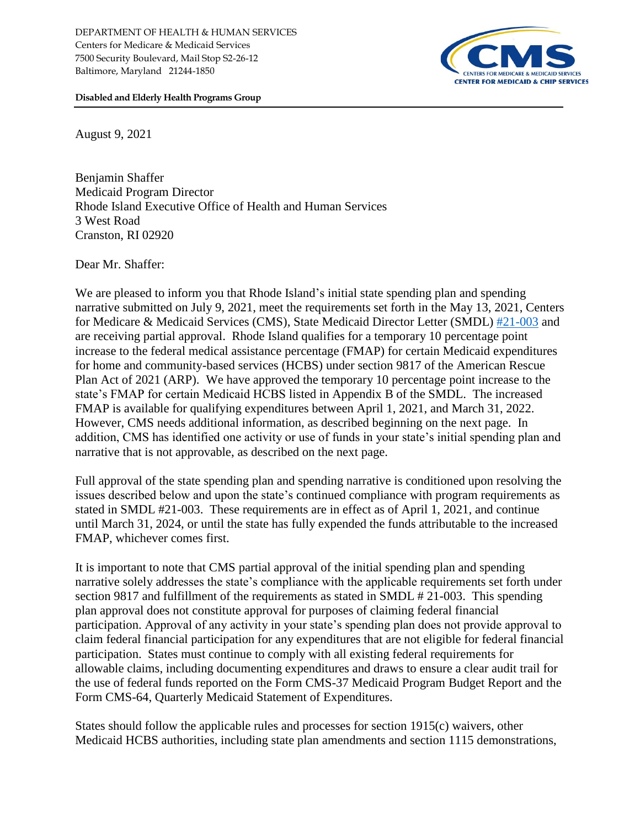

**Disabled and Elderly Health Programs Group**

August 9, 2021

Benjamin Shaffer Medicaid Program Director Rhode Island Executive Office of Health and Human Services 3 West Road Cranston, RI 02920

Dear Mr. Shaffer:

We are pleased to inform you that Rhode Island's initial state spending plan and spending narrative submitted on July 9, 2021, meet the requirements set forth in the May 13, 2021, Centers for Medicare & Medicaid Services (CMS), State Medicaid Director Letter (SMDL) [#21-003](https://www.medicaid.gov/federal-policy-guidance/downloads/smd21003.pdf) and are receiving partial approval. Rhode Island qualifies for a temporary 10 percentage point increase to the federal medical assistance percentage (FMAP) for certain Medicaid expenditures for home and community-based services (HCBS) under section 9817 of the American Rescue Plan Act of 2021 (ARP). We have approved the temporary 10 percentage point increase to the state's FMAP for certain Medicaid HCBS listed in Appendix B of the SMDL. The increased FMAP is available for qualifying expenditures between April 1, 2021, and March 31, 2022. However, CMS needs additional information, as described beginning on the next page. In addition, CMS has identified one activity or use of funds in your state's initial spending plan and narrative that is not approvable, as described on the next page.

Full approval of the state spending plan and spending narrative is conditioned upon resolving the issues described below and upon the state's continued compliance with program requirements as stated in SMDL #21-003. These requirements are in effect as of April 1, 2021, and continue until March 31, 2024, or until the state has fully expended the funds attributable to the increased FMAP, whichever comes first.

It is important to note that CMS partial approval of the initial spending plan and spending narrative solely addresses the state's compliance with the applicable requirements set forth under section 9817 and fulfillment of the requirements as stated in SMDL # 21-003. This spending plan approval does not constitute approval for purposes of claiming federal financial participation. Approval of any activity in your state's spending plan does not provide approval to claim federal financial participation for any expenditures that are not eligible for federal financial participation. States must continue to comply with all existing federal requirements for allowable claims, including documenting expenditures and draws to ensure a clear audit trail for the use of federal funds reported on the Form CMS-37 Medicaid Program Budget Report and the Form CMS-64, Quarterly Medicaid Statement of Expenditures.

States should follow the applicable rules and processes for section 1915(c) waivers, other Medicaid HCBS authorities, including state plan amendments and section 1115 demonstrations,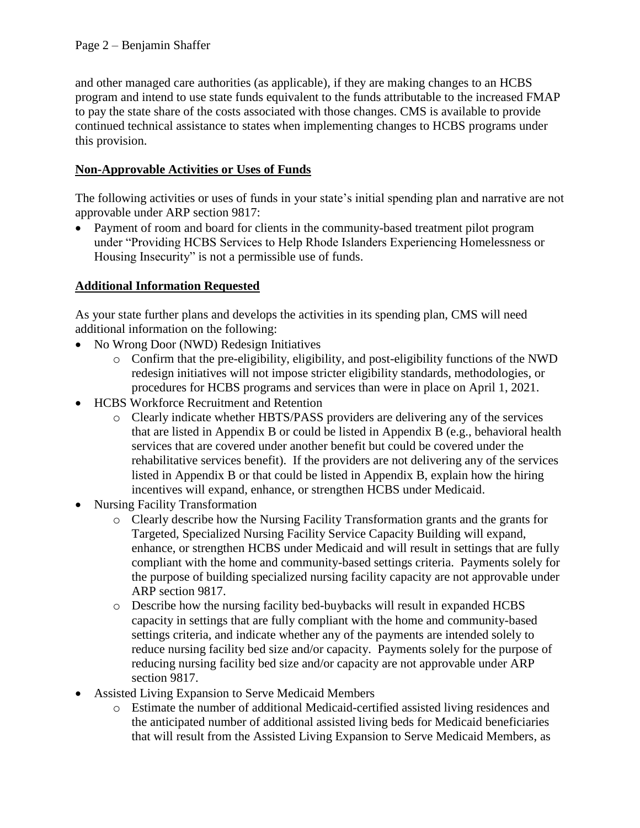and other managed care authorities (as applicable), if they are making changes to an HCBS program and intend to use state funds equivalent to the funds attributable to the increased FMAP to pay the state share of the costs associated with those changes. CMS is available to provide continued technical assistance to states when implementing changes to HCBS programs under this provision.

# **Non-Approvable Activities or Uses of Funds**

The following activities or uses of funds in your state's initial spending plan and narrative are not approvable under ARP section 9817:

• Payment of room and board for clients in the community-based treatment pilot program under "Providing HCBS Services to Help Rhode Islanders Experiencing Homelessness or Housing Insecurity" is not a permissible use of funds.

# **Additional Information Requested**

As your state further plans and develops the activities in its spending plan, CMS will need additional information on the following:

- No Wrong Door (NWD) Redesign Initiatives
	- o Confirm that the pre-eligibility, eligibility, and post-eligibility functions of the NWD redesign initiatives will not impose stricter eligibility standards, methodologies, or procedures for HCBS programs and services than were in place on April 1, 2021.
- HCBS Workforce Recruitment and Retention
	- o Clearly indicate whether HBTS/PASS providers are delivering any of the services that are listed in Appendix B or could be listed in Appendix B (e.g., behavioral health services that are covered under another benefit but could be covered under the rehabilitative services benefit). If the providers are not delivering any of the services listed in Appendix B or that could be listed in Appendix B, explain how the hiring incentives will expand, enhance, or strengthen HCBS under Medicaid.
- Nursing Facility Transformation
	- o Clearly describe how the Nursing Facility Transformation grants and the grants for Targeted, Specialized Nursing Facility Service Capacity Building will expand, enhance, or strengthen HCBS under Medicaid and will result in settings that are fully compliant with the home and community-based settings criteria. Payments solely for the purpose of building specialized nursing facility capacity are not approvable under ARP section 9817.
	- o Describe how the nursing facility bed-buybacks will result in expanded HCBS capacity in settings that are fully compliant with the home and community-based settings criteria, and indicate whether any of the payments are intended solely to reduce nursing facility bed size and/or capacity. Payments solely for the purpose of reducing nursing facility bed size and/or capacity are not approvable under ARP section 9817.
- Assisted Living Expansion to Serve Medicaid Members
	- o Estimate the number of additional Medicaid-certified assisted living residences and the anticipated number of additional assisted living beds for Medicaid beneficiaries that will result from the Assisted Living Expansion to Serve Medicaid Members, as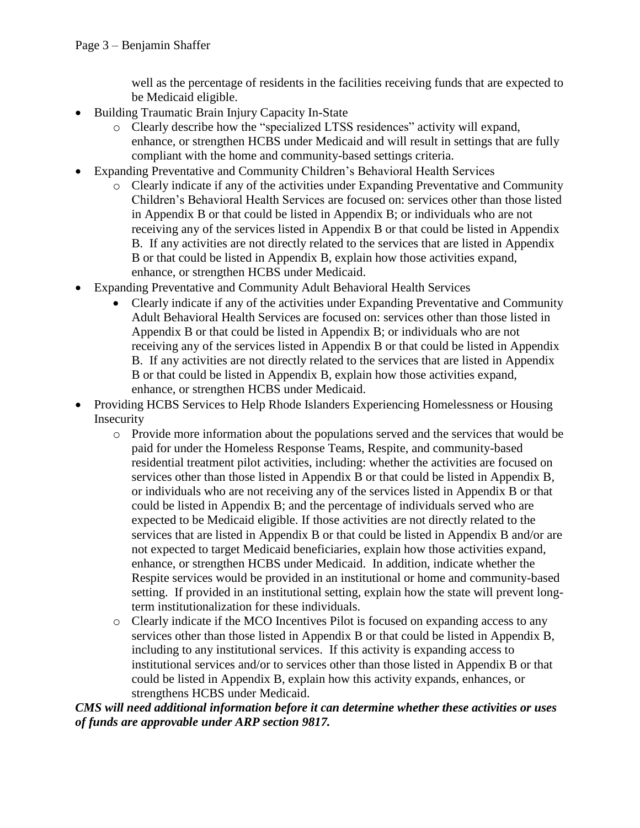well as the percentage of residents in the facilities receiving funds that are expected to be Medicaid eligible.

- Building Traumatic Brain Injury Capacity In-State
	- o Clearly describe how the "specialized LTSS residences" activity will expand, enhance, or strengthen HCBS under Medicaid and will result in settings that are fully compliant with the home and community-based settings criteria.
- Expanding Preventative and Community Children's Behavioral Health Services
	- o Clearly indicate if any of the activities under Expanding Preventative and Community Children's Behavioral Health Services are focused on: services other than those listed in Appendix B or that could be listed in Appendix B; or individuals who are not receiving any of the services listed in Appendix B or that could be listed in Appendix B. If any activities are not directly related to the services that are listed in Appendix B or that could be listed in Appendix B, explain how those activities expand, enhance, or strengthen HCBS under Medicaid.
- Expanding Preventative and Community Adult Behavioral Health Services
	- Clearly indicate if any of the activities under Expanding Preventative and Community Adult Behavioral Health Services are focused on: services other than those listed in Appendix B or that could be listed in Appendix B; or individuals who are not receiving any of the services listed in Appendix B or that could be listed in Appendix B. If any activities are not directly related to the services that are listed in Appendix B or that could be listed in Appendix B, explain how those activities expand, enhance, or strengthen HCBS under Medicaid.
- Providing HCBS Services to Help Rhode Islanders Experiencing Homelessness or Housing Insecurity
	- o Provide more information about the populations served and the services that would be paid for under the Homeless Response Teams, Respite, and community-based residential treatment pilot activities, including: whether the activities are focused on services other than those listed in Appendix B or that could be listed in Appendix B, or individuals who are not receiving any of the services listed in Appendix B or that could be listed in Appendix B; and the percentage of individuals served who are expected to be Medicaid eligible. If those activities are not directly related to the services that are listed in Appendix B or that could be listed in Appendix B and/or are not expected to target Medicaid beneficiaries, explain how those activities expand, enhance, or strengthen HCBS under Medicaid. In addition, indicate whether the Respite services would be provided in an institutional or home and community-based setting. If provided in an institutional setting, explain how the state will prevent longterm institutionalization for these individuals.
	- o Clearly indicate if the MCO Incentives Pilot is focused on expanding access to any services other than those listed in Appendix B or that could be listed in Appendix B, including to any institutional services. If this activity is expanding access to institutional services and/or to services other than those listed in Appendix B or that could be listed in Appendix B, explain how this activity expands, enhances, or strengthens HCBS under Medicaid.

*CMS will need additional information before it can determine whether these activities or uses of funds are approvable under ARP section 9817.*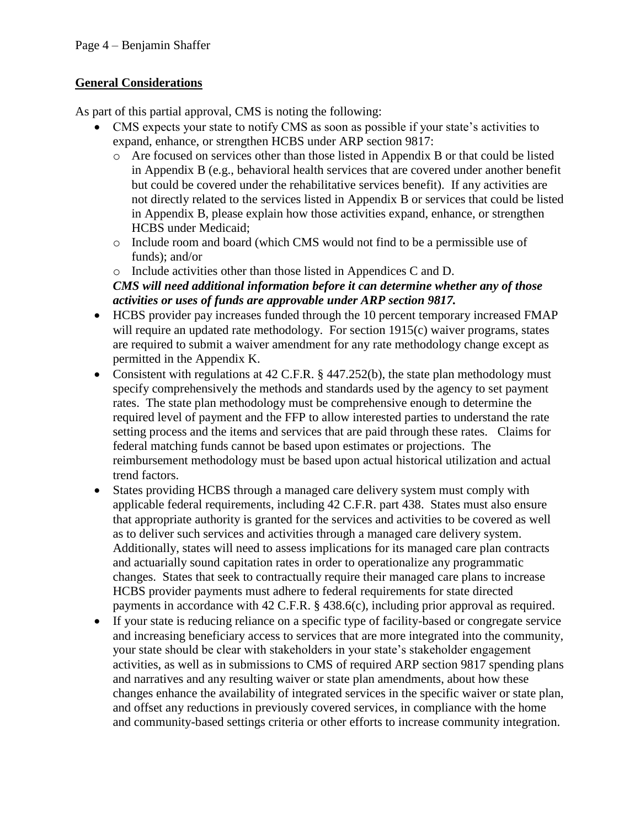# **General Considerations**

As part of this partial approval, CMS is noting the following:

- CMS expects your state to notify CMS as soon as possible if your state's activities to expand, enhance, or strengthen HCBS under ARP section 9817:
	- o Are focused on services other than those listed in Appendix B or that could be listed in Appendix B (e.g., behavioral health services that are covered under another benefit but could be covered under the rehabilitative services benefit).If any activities are not directly related to the services listed in Appendix B or services that could be listed in Appendix B, please explain how those activities expand, enhance, or strengthen HCBS under Medicaid;
	- o Include room and board (which CMS would not find to be a permissible use of funds); and/or

#### o Include activities other than those listed in Appendices C and D. *CMS will need additional information before it can determine whether any of those activities or uses of funds are approvable under ARP section 9817.*

- HCBS provider pay increases funded through the 10 percent temporary increased FMAP will require an updated rate methodology. For section 1915(c) waiver programs, states are required to submit a waiver amendment for any rate methodology change except as permitted in the Appendix K.
- Consistent with regulations at 42 C.F.R. § 447.252(b), the state plan methodology must specify comprehensively the methods and standards used by the agency to set payment rates. The state plan methodology must be comprehensive enough to determine the required level of payment and the FFP to allow interested parties to understand the rate setting process and the items and services that are paid through these rates. Claims for federal matching funds cannot be based upon estimates or projections. The reimbursement methodology must be based upon actual historical utilization and actual trend factors.
- States providing HCBS through a managed care delivery system must comply with applicable federal requirements, including 42 C.F.R. part 438. States must also ensure that appropriate authority is granted for the services and activities to be covered as well as to deliver such services and activities through a managed care delivery system. Additionally, states will need to assess implications for its managed care plan contracts and actuarially sound capitation rates in order to operationalize any programmatic changes. States that seek to contractually require their managed care plans to increase HCBS provider payments must adhere to federal requirements for state directed payments in accordance with 42 C.F.R. § 438.6(c), including prior approval as required.
- If your state is reducing reliance on a specific type of facility-based or congregate service and increasing beneficiary access to services that are more integrated into the community, your state should be clear with stakeholders in your state's stakeholder engagement activities, as well as in submissions to CMS of required ARP section 9817 spending plans and narratives and any resulting waiver or state plan amendments, about how these changes enhance the availability of integrated services in the specific waiver or state plan, and offset any reductions in previously covered services, in compliance with the home and community-based settings criteria or other efforts to increase community integration.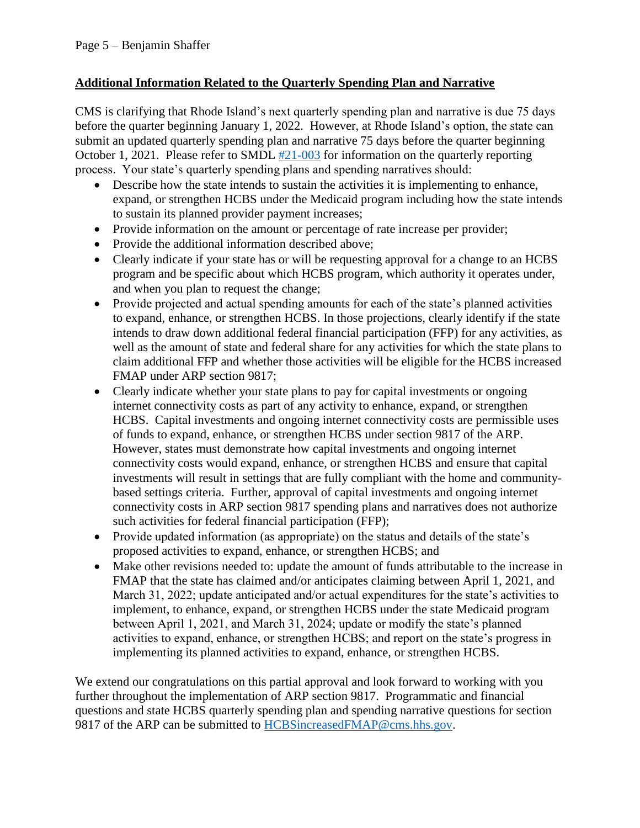### **Additional Information Related to the Quarterly Spending Plan and Narrative**

CMS is clarifying that Rhode Island's next quarterly spending plan and narrative is due 75 days before the quarter beginning January 1, 2022. However, at Rhode Island's option, the state can submit an updated quarterly spending plan and narrative 75 days before the quarter beginning October 1, 2021. Please refer to SMDL  $#21$ -003 for information on the quarterly reporting process. Your state's quarterly spending plans and spending narratives should:

- Describe how the state intends to sustain the activities it is implementing to enhance, expand, or strengthen HCBS under the Medicaid program including how the state intends to sustain its planned provider payment increases;
- Provide information on the amount or percentage of rate increase per provider;
- Provide the additional information described above;
- Clearly indicate if your state has or will be requesting approval for a change to an HCBS program and be specific about which HCBS program, which authority it operates under, and when you plan to request the change;
- Provide projected and actual spending amounts for each of the state's planned activities to expand, enhance, or strengthen HCBS. In those projections, clearly identify if the state intends to draw down additional federal financial participation (FFP) for any activities, as well as the amount of state and federal share for any activities for which the state plans to claim additional FFP and whether those activities will be eligible for the HCBS increased FMAP under ARP section 9817;
- Clearly indicate whether your state plans to pay for capital investments or ongoing internet connectivity costs as part of any activity to enhance, expand, or strengthen HCBS. Capital investments and ongoing internet connectivity costs are permissible uses of funds to expand, enhance, or strengthen HCBS under section 9817 of the ARP. However, states must demonstrate how capital investments and ongoing internet connectivity costs would expand, enhance, or strengthen HCBS and ensure that capital investments will result in settings that are fully compliant with the home and communitybased settings criteria. Further, approval of capital investments and ongoing internet connectivity costs in ARP section 9817 spending plans and narratives does not authorize such activities for federal financial participation (FFP);
- Provide updated information (as appropriate) on the status and details of the state's proposed activities to expand, enhance, or strengthen HCBS; and
- Make other revisions needed to: update the amount of funds attributable to the increase in FMAP that the state has claimed and/or anticipates claiming between April 1, 2021, and March 31, 2022; update anticipated and/or actual expenditures for the state's activities to implement, to enhance, expand, or strengthen HCBS under the state Medicaid program between April 1, 2021, and March 31, 2024; update or modify the state's planned activities to expand, enhance, or strengthen HCBS; and report on the state's progress in implementing its planned activities to expand, enhance, or strengthen HCBS.

We extend our congratulations on this partial approval and look forward to working with you further throughout the implementation of ARP section 9817. Programmatic and financial questions and state HCBS quarterly spending plan and spending narrative questions for section 9817 of the ARP can be submitted to [HCBSincreasedFMAP@cms.hhs.gov.](mailto:HCBSincreasedFMAP@cms.hhs.gov)